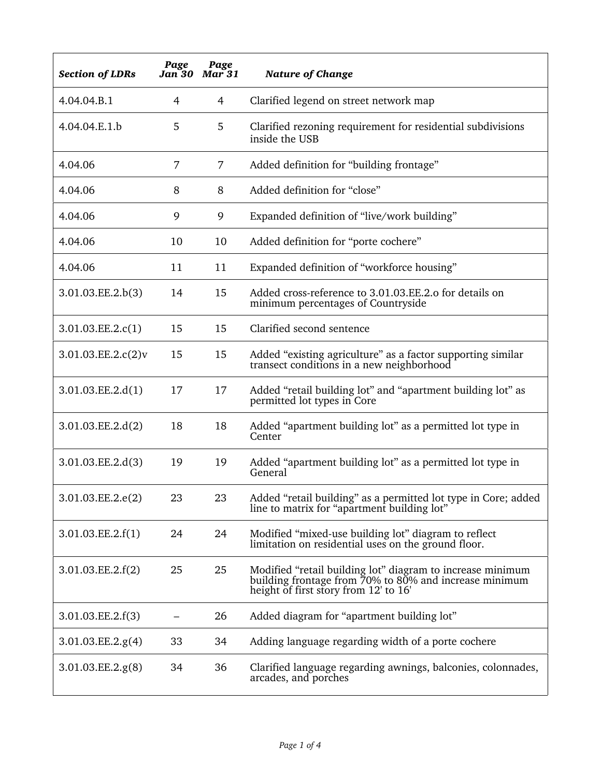| <b>Section of LDRs</b> | Page | Page<br>Jan 30 Mar 31 | <b>Nature of Change</b>                                                                                                                                       |
|------------------------|------|-----------------------|---------------------------------------------------------------------------------------------------------------------------------------------------------------|
| 4.04.04.B.1            | 4    | 4                     | Clarified legend on street network map                                                                                                                        |
| 4.04.04.E.1.b          | 5    | 5                     | Clarified rezoning requirement for residential subdivisions<br>inside the USB                                                                                 |
| 4.04.06                | 7    | $\overline{7}$        | Added definition for "building frontage"                                                                                                                      |
| 4.04.06                | 8    | 8                     | Added definition for "close"                                                                                                                                  |
| 4.04.06                | 9    | 9                     | Expanded definition of "live/work building"                                                                                                                   |
| 4.04.06                | 10   | 10                    | Added definition for "porte cochere"                                                                                                                          |
| 4.04.06                | 11   | 11                    | Expanded definition of "workforce housing"                                                                                                                    |
| 3.01.03.EE.2.b(3)      | 14   | 15                    | Added cross-reference to 3.01.03.EE.2.o for details on<br>minimum percentages of Countryside                                                                  |
| 3.01.03.EE.2.c(1)      | 15   | 15                    | Clarified second sentence                                                                                                                                     |
| 3.01.03.EE.2.c(2)v     | 15   | 15                    | Added "existing agriculture" as a factor supporting similar<br>transect conditions in a new neighborhood                                                      |
| 3.01.03.EE.2.d(1)      | 17   | 17                    | Added "retail building lot" and "apartment building lot" as<br>permitted lot types in Core                                                                    |
| 3.01.03.EE.2.d(2)      | 18   | 18                    | Added "apartment building lot" as a permitted lot type in<br>Center                                                                                           |
| 3.01.03.EE.2.d(3)      | 19   | 19                    | Added "apartment building lot" as a permitted lot type in<br>General                                                                                          |
| 3.01.03.EE.2.e(2)      | 23   | 23                    | Added "retail building" as a permitted lot type in Core; added<br>line to matrix for "apartment building lot"                                                 |
| 3.01.03.EE.2.f(1)      | 24   | 24                    | Modified "mixed-use building lot" diagram to reflect<br>limitation on residential uses on the ground floor.                                                   |
| 3.01.03.EE.2.f(2)      | 25   | 25                    | Modified "retail building lot" diagram to increase minimum<br>building frontage from 70% to 80% and increase minimum<br>height of first story from 12' to 16' |
| 3.01.03.EE.2.f(3)      |      | 26                    | Added diagram for "apartment building lot"                                                                                                                    |
| 3.01.03.EE.2.g(4)      | 33   | 34                    | Adding language regarding width of a porte cochere                                                                                                            |
| 3.01.03.EE.2.g(8)      | 34   | 36                    | Clarified language regarding awnings, balconies, colonnades,<br>arcades, and porches                                                                          |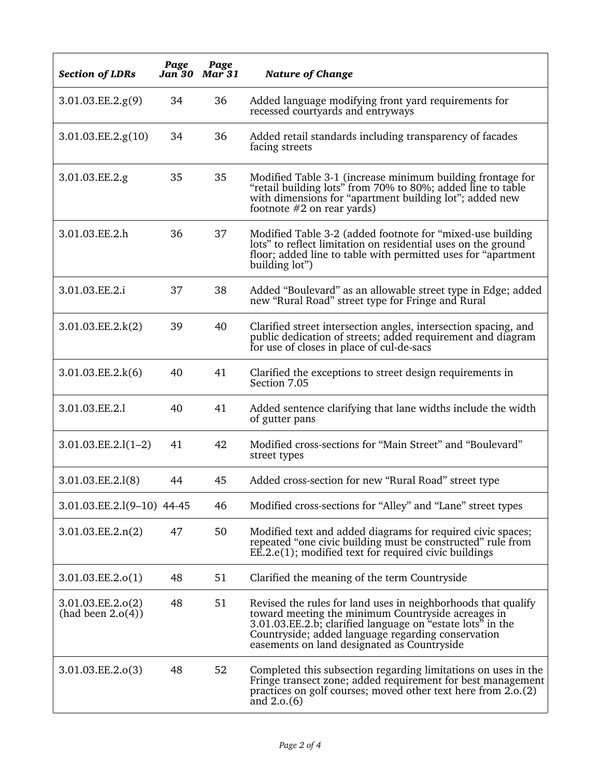| <b>Section of LDRs</b>                 | Page<br>Jan 30 | Page<br>$Mar$ 31 | <b>Nature of Change</b>                                                                                                                                                                                                                                                                |
|----------------------------------------|----------------|------------------|----------------------------------------------------------------------------------------------------------------------------------------------------------------------------------------------------------------------------------------------------------------------------------------|
| 3.01.03.EE.2.g(9)                      | 34             | 36               | Added language modifying front yard requirements for<br>recessed courtyards and entryways                                                                                                                                                                                              |
| 3.01.03.EE.2.g(10)                     | 34             | 36               | Added retail standards including transparency of facades<br>facing streets                                                                                                                                                                                                             |
| 3.01.03.EE.2.g                         | 35             | 35               | Modified Table 3-1 (increase minimum building frontage for<br>"retail building lots" from 70% to 80%; added line to table<br>with dimensions for "apartment building lot"; added new<br>footnote $#2$ on rear yards)                                                                   |
| 3.01.03.EE.2.h                         | 36             | 37               | Modified Table 3-2 (added footnote for "mixed-use building"<br>lots" to reflect limitation on residential uses on the ground<br>floor; added line to table with permitted uses for "apartment"<br>building lot")                                                                       |
| 3.01.03.EE.2.i                         | 37             | 38               | Added "Boulevard" as an allowable street type in Edge; added<br>new "Rural Road" street type for Fringe and Rural                                                                                                                                                                      |
| 3.01.03.EE.2.k(2)                      | 39             | 40               | Clarified street intersection angles, intersection spacing, and<br>public dedication of streets; added requirement and diagram<br>for use of closes in place of cul-de-sacs                                                                                                            |
| 3.01.03.EE.2.k(6)                      | 40             | 41               | Clarified the exceptions to street design requirements in<br>Section 7.05                                                                                                                                                                                                              |
| 3.01.03.EE.2.1                         | 40             | 41               | Added sentence clarifying that lane widths include the width<br>of gutter pans                                                                                                                                                                                                         |
| $3.01.03.EE.2.l(1-2)$                  | 41             | 42               | Modified cross-sections for "Main Street" and "Boulevard"<br>street types                                                                                                                                                                                                              |
| 3.01.03.EE.2.l(8)                      | 44             | 45               | Added cross-section for new "Rural Road" street type                                                                                                                                                                                                                                   |
| 3.01.03.EE.2.1(9-10) 44-45             |                | 46               | Modified cross-sections for "Alley" and "Lane" street types                                                                                                                                                                                                                            |
| 3.01.03.EE.2.n(2)                      | 47             | 50               | Modified text and added diagrams for required civic spaces;<br>repeated "one civic building must be constructed" rule from<br>EE.2.e(1); modified text for required civic buildings                                                                                                    |
| 3.01.03.EE.2.o(1)                      | 48             | 51               | Clarified the meaning of the term Countryside                                                                                                                                                                                                                                          |
| 3.01.03.EE.2.o(2)<br>(had been 2.o(4)) | 48             | 51               | Revised the rules for land uses in neighborhoods that qualify<br>toward meeting the minimum Countryside acreages in<br>3.01.03.EE.2.b; clarified language on "estate lots" in the<br>Countryside; added language regarding conservation<br>easements on land designated as Countryside |
| 3.01.03.EE.2.o(3)                      | 48             | 52               | Completed this subsection regarding limitations on uses in the<br>Fringe transect zone; added requirement for best management<br>practices on golf courses; moved other text here from 2.0.(2)<br>and $2.0(6)$                                                                         |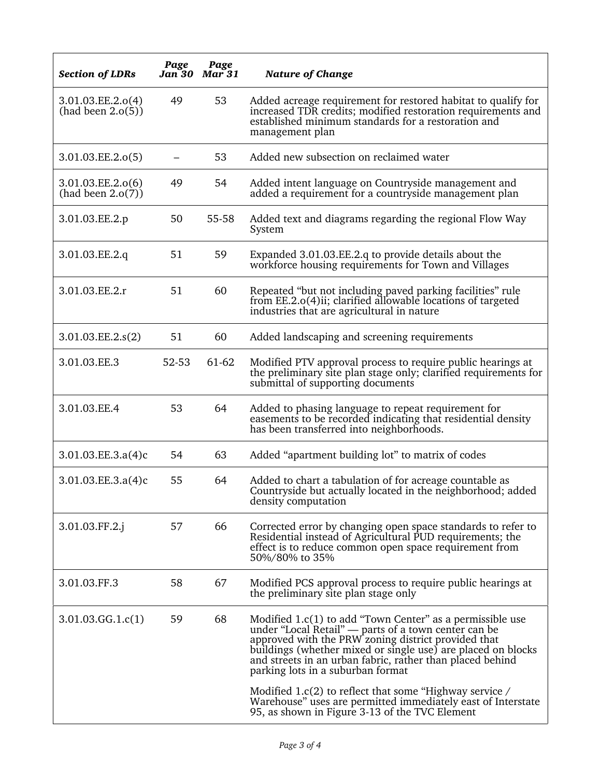| <b>Section of LDRs</b>                 | Page<br>Jan 30 | Page<br><b>Mar</b> 31 | <b>Nature of Change</b>                                                                                                                                                                                                                                                                                                                    |
|----------------------------------------|----------------|-----------------------|--------------------------------------------------------------------------------------------------------------------------------------------------------------------------------------------------------------------------------------------------------------------------------------------------------------------------------------------|
| 3.01.03.EE.2.o(4)<br>(had been 2.0(5)) | 49             | 53                    | Added acreage requirement for restored habitat to qualify for<br>increased TDR credits; modified restoration requirements and<br>established minimum standards for a restoration and<br>management plan                                                                                                                                    |
| 3.01.03.EE.2.o(5)                      |                | 53                    | Added new subsection on reclaimed water                                                                                                                                                                                                                                                                                                    |
| 3.01.03.EE.2.o(6)<br>(had been 2.o(7)) | 49             | 54                    | Added intent language on Countryside management and<br>added a requirement for a countryside management plan                                                                                                                                                                                                                               |
| 3.01.03.EE.2.p                         | 50             | 55-58                 | Added text and diagrams regarding the regional Flow Way<br>System                                                                                                                                                                                                                                                                          |
| 3.01.03.EE.2.q                         | 51             | 59                    | Expanded 3.01.03.EE.2.q to provide details about the<br>workforce housing requirements for Town and Villages                                                                                                                                                                                                                               |
| 3.01.03.EE.2.r                         | 51             | 60                    | Repeated "but not including paved parking facilities" rule<br>from EE.2.0(4)ii; clarified allowable locations of targeted<br>industries that are agricultural in nature                                                                                                                                                                    |
| 3.01.03.EE.2.s(2)                      | 51             | 60                    | Added landscaping and screening requirements                                                                                                                                                                                                                                                                                               |
| 3.01.03.EE.3                           | 52-53          | 61-62                 | Modified PTV approval process to require public hearings at<br>the preliminary site plan stage only; clarified requirements for<br>submittal of supporting documents                                                                                                                                                                       |
| 3.01.03.EE.4                           | 53             | 64                    | Added to phasing language to repeat requirement for<br>easements to be recorded indicating that residential density<br>has been transferred into neighborhoods.                                                                                                                                                                            |
| 3.01.03.EE.3.a(4)c                     | 54             | 63                    | Added "apartment building lot" to matrix of codes                                                                                                                                                                                                                                                                                          |
| 3.01.03.EE.3.a(4)c                     | 55             | 64                    | Added to chart a tabulation of for acreage countable as<br>Countryside but actually located in the neighborhood; added<br>density computation                                                                                                                                                                                              |
| 3.01.03.FF.2.j                         | 57             | 66                    | Corrected error by changing open space standards to refer to<br>Residential instead of Agricultural PUD requirements; the<br>effect is to reduce common open space requirement from<br>50%/80% to 35%                                                                                                                                      |
| 3.01.03.FF.3                           | 58             | 67                    | Modified PCS approval process to require public hearings at<br>the preliminary site plan stage only                                                                                                                                                                                                                                        |
| 3.01.03.GG.1.c(1)                      | 59             | 68                    | Modified 1.c(1) to add "Town Center" as a permissible use<br>under "Local Retail" — parts of a town center can be<br>approved with the PRW zoning district provided that<br>buildings (whether mixed or single use) are placed on blocks<br>and streets in an urban fabric, rather than placed behind<br>parking lots in a suburban format |
|                                        |                |                       | Modified 1.c(2) to reflect that some "Highway service /<br>Warehouse" uses are permitted immediately east of Interstate<br>95, as shown in Figure 3-13 of the TVC Element                                                                                                                                                                  |